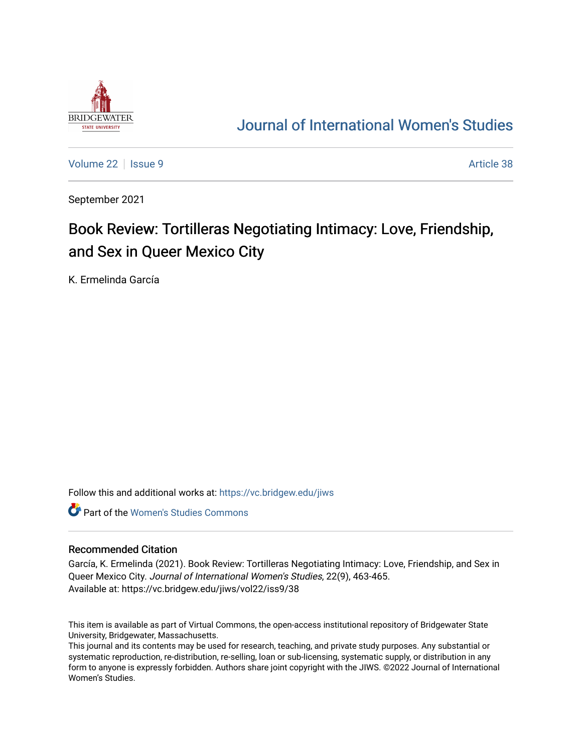

## [Journal of International Women's Studies](https://vc.bridgew.edu/jiws)

[Volume 22](https://vc.bridgew.edu/jiws/vol22) | [Issue 9](https://vc.bridgew.edu/jiws/vol22/iss9) Article 38

September 2021

# Book Review: Tortilleras Negotiating Intimacy: Love, Friendship, and Sex in Queer Mexico City

K. Ermelinda García

Follow this and additional works at: [https://vc.bridgew.edu/jiws](https://vc.bridgew.edu/jiws?utm_source=vc.bridgew.edu%2Fjiws%2Fvol22%2Fiss9%2F38&utm_medium=PDF&utm_campaign=PDFCoverPages)

**C** Part of the Women's Studies Commons

#### Recommended Citation

García, K. Ermelinda (2021). Book Review: Tortilleras Negotiating Intimacy: Love, Friendship, and Sex in Queer Mexico City. Journal of International Women's Studies, 22(9), 463-465. Available at: https://vc.bridgew.edu/jiws/vol22/iss9/38

This item is available as part of Virtual Commons, the open-access institutional repository of Bridgewater State University, Bridgewater, Massachusetts.

This journal and its contents may be used for research, teaching, and private study purposes. Any substantial or systematic reproduction, re-distribution, re-selling, loan or sub-licensing, systematic supply, or distribution in any form to anyone is expressly forbidden. Authors share joint copyright with the JIWS. ©2022 Journal of International Women's Studies.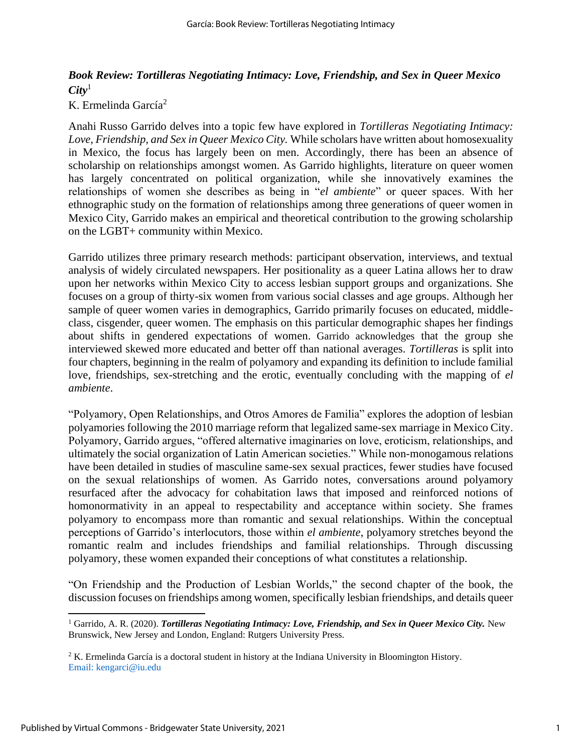### *Book Review: Tortilleras Negotiating Intimacy: Love, Friendship, and Sex in Queer Mexico City*<sup>1</sup>

#### K. Ermelinda García<sup>2</sup>

Anahi Russo Garrido delves into a topic few have explored in *Tortilleras Negotiating Intimacy: Love, Friendship, and Sex in Queer Mexico City.* While scholars have written about homosexuality in Mexico, the focus has largely been on men. Accordingly, there has been an absence of scholarship on relationships amongst women. As Garrido highlights, literature on queer women has largely concentrated on political organization, while she innovatively examines the relationships of women she describes as being in "*el ambiente*" or queer spaces. With her ethnographic study on the formation of relationships among three generations of queer women in Mexico City, Garrido makes an empirical and theoretical contribution to the growing scholarship on the LGBT+ community within Mexico.

Garrido utilizes three primary research methods: participant observation, interviews, and textual analysis of widely circulated newspapers. Her positionality as a queer Latina allows her to draw upon her networks within Mexico City to access lesbian support groups and organizations. She focuses on a group of thirty-six women from various social classes and age groups. Although her sample of queer women varies in demographics, Garrido primarily focuses on educated, middleclass, cisgender, queer women. The emphasis on this particular demographic shapes her findings about shifts in gendered expectations of women. Garrido acknowledges that the group she interviewed skewed more educated and better off than national averages. *Tortilleras* is split into four chapters, beginning in the realm of polyamory and expanding its definition to include familial love, friendships, sex-stretching and the erotic, eventually concluding with the mapping of *el ambiente*.

"Polyamory, Open Relationships, and Otros Amores de Familia" explores the adoption of lesbian polyamories following the 2010 marriage reform that legalized same-sex marriage in Mexico City. Polyamory, Garrido argues, "offered alternative imaginaries on love, eroticism, relationships, and ultimately the social organization of Latin American societies." While non-monogamous relations have been detailed in studies of masculine same-sex sexual practices, fewer studies have focused on the sexual relationships of women. As Garrido notes, conversations around polyamory resurfaced after the advocacy for cohabitation laws that imposed and reinforced notions of homonormativity in an appeal to respectability and acceptance within society. She frames polyamory to encompass more than romantic and sexual relationships. Within the conceptual perceptions of Garrido's interlocutors, those within *el ambiente*, polyamory stretches beyond the romantic realm and includes friendships and familial relationships. Through discussing polyamory, these women expanded their conceptions of what constitutes a relationship.

"On Friendship and the Production of Lesbian Worlds," the second chapter of the book, the discussion focuses on friendships among women, specifically lesbian friendships, and details queer

<sup>1</sup> Garrido, A. R. (2020). *Tortilleras Negotiating Intimacy: Love, Friendship, and Sex in Queer Mexico City.* New Brunswick, New Jersey and London, England: Rutgers University Press.

<sup>2</sup> K. Ermelinda García is a doctoral student in history at the Indiana University in Bloomington History. Email: kengarci@iu.edu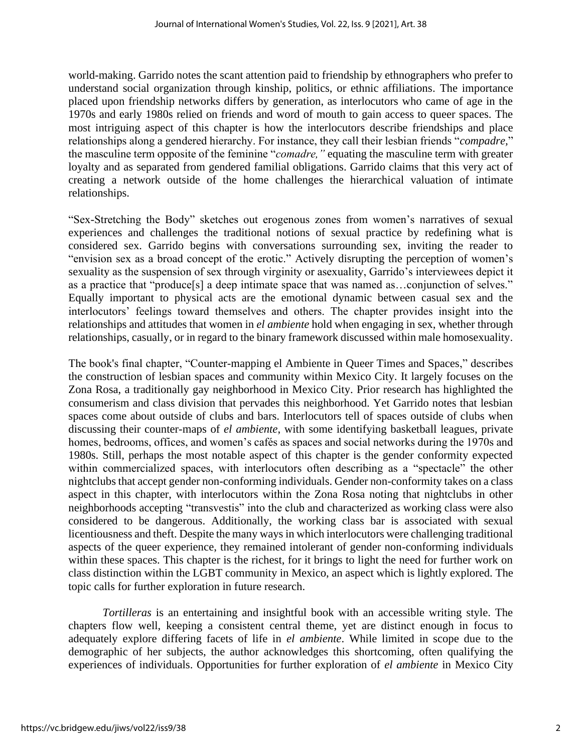world-making. Garrido notes the scant attention paid to friendship by ethnographers who prefer to understand social organization through kinship, politics, or ethnic affiliations. The importance placed upon friendship networks differs by generation, as interlocutors who came of age in the 1970s and early 1980s relied on friends and word of mouth to gain access to queer spaces. The most intriguing aspect of this chapter is how the interlocutors describe friendships and place relationships along a gendered hierarchy. For instance, they call their lesbian friends "*compadre,*" the masculine term opposite of the feminine "*comadre,"* equating the masculine term with greater loyalty and as separated from gendered familial obligations. Garrido claims that this very act of creating a network outside of the home challenges the hierarchical valuation of intimate relationships.

"Sex-Stretching the Body" sketches out erogenous zones from women's narratives of sexual experiences and challenges the traditional notions of sexual practice by redefining what is considered sex. Garrido begins with conversations surrounding sex, inviting the reader to "envision sex as a broad concept of the erotic." Actively disrupting the perception of women's sexuality as the suspension of sex through virginity or asexuality, Garrido's interviewees depict it as a practice that "produce[s] a deep intimate space that was named as…conjunction of selves." Equally important to physical acts are the emotional dynamic between casual sex and the interlocutors' feelings toward themselves and others. The chapter provides insight into the relationships and attitudes that women in *el ambiente* hold when engaging in sex, whether through relationships, casually, or in regard to the binary framework discussed within male homosexuality.

The book's final chapter, "Counter-mapping el Ambiente in Queer Times and Spaces," describes the construction of lesbian spaces and community within Mexico City. It largely focuses on the Zona Rosa, a traditionally gay neighborhood in Mexico City. Prior research has highlighted the consumerism and class division that pervades this neighborhood. Yet Garrido notes that lesbian spaces come about outside of clubs and bars. Interlocutors tell of spaces outside of clubs when discussing their counter-maps of *el ambiente*, with some identifying basketball leagues, private homes, bedrooms, offices, and women's cafés as spaces and social networks during the 1970s and 1980s. Still, perhaps the most notable aspect of this chapter is the gender conformity expected within commercialized spaces, with interlocutors often describing as a "spectacle" the other nightclubs that accept gender non-conforming individuals. Gender non-conformity takes on a class aspect in this chapter, with interlocutors within the Zona Rosa noting that nightclubs in other neighborhoods accepting "transvestis" into the club and characterized as working class were also considered to be dangerous. Additionally, the working class bar is associated with sexual licentiousness and theft. Despite the many ways in which interlocutors were challenging traditional aspects of the queer experience, they remained intolerant of gender non-conforming individuals within these spaces. This chapter is the richest, for it brings to light the need for further work on class distinction within the LGBT community in Mexico, an aspect which is lightly explored. The topic calls for further exploration in future research.

 *Tortilleras* is an entertaining and insightful book with an accessible writing style. The chapters flow well, keeping a consistent central theme, yet are distinct enough in focus to adequately explore differing facets of life in *el ambiente*. While limited in scope due to the demographic of her subjects, the author acknowledges this shortcoming, often qualifying the experiences of individuals. Opportunities for further exploration of *el ambiente* in Mexico City